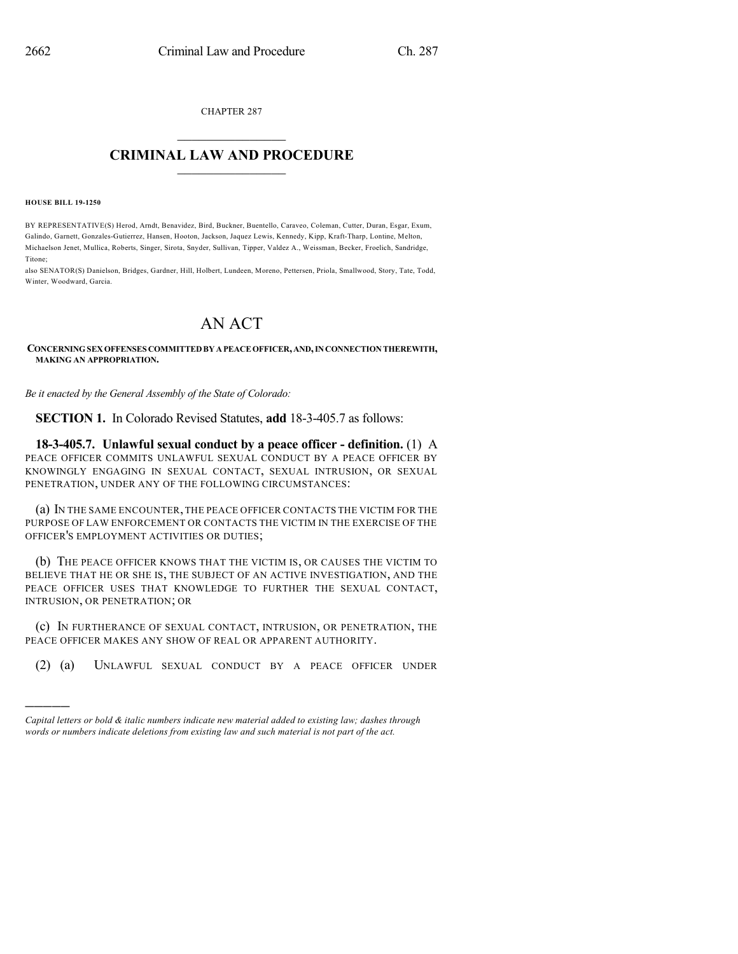CHAPTER 287

## $\mathcal{L}_\text{max}$  . The set of the set of the set of the set of the set of the set of the set of the set of the set of the set of the set of the set of the set of the set of the set of the set of the set of the set of the set **CRIMINAL LAW AND PROCEDURE**  $\frac{1}{2}$  ,  $\frac{1}{2}$  ,  $\frac{1}{2}$  ,  $\frac{1}{2}$  ,  $\frac{1}{2}$  ,  $\frac{1}{2}$  ,  $\frac{1}{2}$

**HOUSE BILL 19-1250**

)))))

BY REPRESENTATIVE(S) Herod, Arndt, Benavidez, Bird, Buckner, Buentello, Caraveo, Coleman, Cutter, Duran, Esgar, Exum, Galindo, Garnett, Gonzales-Gutierrez, Hansen, Hooton, Jackson, Jaquez Lewis, Kennedy, Kipp, Kraft-Tharp, Lontine, Melton, Michaelson Jenet, Mullica, Roberts, Singer, Sirota, Snyder, Sullivan, Tipper, Valdez A., Weissman, Becker, Froelich, Sandridge, Titone;

also SENATOR(S) Danielson, Bridges, Gardner, Hill, Holbert, Lundeen, Moreno, Pettersen, Priola, Smallwood, Story, Tate, Todd, Winter, Woodward, Garcia.

## AN ACT

**CONCERNINGSEXOFFENSES COMMITTEDBY APEACEOFFICER,AND,INCONNECTIONTHEREWITH, MAKING AN APPROPRIATION.**

*Be it enacted by the General Assembly of the State of Colorado:*

**SECTION 1.** In Colorado Revised Statutes, **add** 18-3-405.7 as follows:

**18-3-405.7. Unlawful sexual conduct by a peace officer - definition.** (1) A PEACE OFFICER COMMITS UNLAWFUL SEXUAL CONDUCT BY A PEACE OFFICER BY KNOWINGLY ENGAGING IN SEXUAL CONTACT, SEXUAL INTRUSION, OR SEXUAL PENETRATION, UNDER ANY OF THE FOLLOWING CIRCUMSTANCES:

(a) IN THE SAME ENCOUNTER, THE PEACE OFFICER CONTACTS THE VICTIM FOR THE PURPOSE OF LAW ENFORCEMENT OR CONTACTS THE VICTIM IN THE EXERCISE OF THE OFFICER'S EMPLOYMENT ACTIVITIES OR DUTIES;

(b) THE PEACE OFFICER KNOWS THAT THE VICTIM IS, OR CAUSES THE VICTIM TO BELIEVE THAT HE OR SHE IS, THE SUBJECT OF AN ACTIVE INVESTIGATION, AND THE PEACE OFFICER USES THAT KNOWLEDGE TO FURTHER THE SEXUAL CONTACT, INTRUSION, OR PENETRATION; OR

(c) IN FURTHERANCE OF SEXUAL CONTACT, INTRUSION, OR PENETRATION, THE PEACE OFFICER MAKES ANY SHOW OF REAL OR APPARENT AUTHORITY.

(2) (a) UNLAWFUL SEXUAL CONDUCT BY A PEACE OFFICER UNDER

*Capital letters or bold & italic numbers indicate new material added to existing law; dashes through words or numbers indicate deletions from existing law and such material is not part of the act.*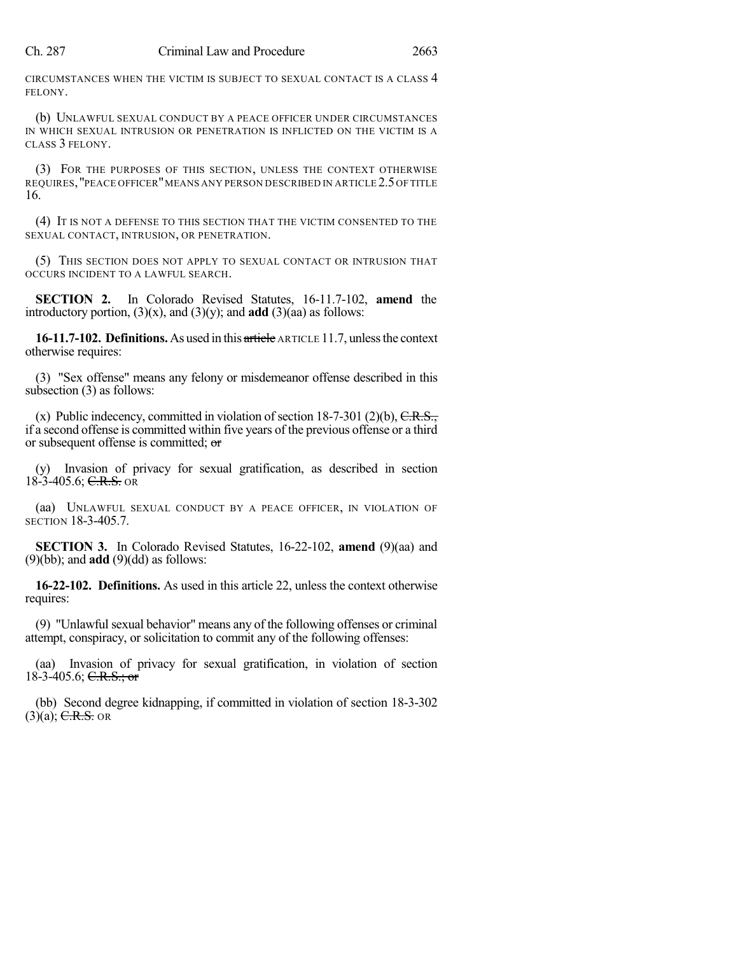CIRCUMSTANCES WHEN THE VICTIM IS SUBJECT TO SEXUAL CONTACT IS A CLASS 4 FELONY.

(b) UNLAWFUL SEXUAL CONDUCT BY A PEACE OFFICER UNDER CIRCUMSTANCES IN WHICH SEXUAL INTRUSION OR PENETRATION IS INFLICTED ON THE VICTIM IS A CLASS 3 FELONY.

(3) FOR THE PURPOSES OF THIS SECTION, UNLESS THE CONTEXT OTHERWISE REQUIRES,"PEACE OFFICER"MEANS ANY PERSON DESCRIBED IN ARTICLE 2.5OF TITLE 16.

(4) IT IS NOT A DEFENSE TO THIS SECTION THAT THE VICTIM CONSENTED TO THE SEXUAL CONTACT, INTRUSION, OR PENETRATION.

(5) THIS SECTION DOES NOT APPLY TO SEXUAL CONTACT OR INTRUSION THAT OCCURS INCIDENT TO A LAWFUL SEARCH.

**SECTION 2.** In Colorado Revised Statutes, 16-11.7-102, **amend** the introductory portion,  $(3)(x)$ , and  $(3)(y)$ ; and **add**  $(3)(aa)$  as follows:

**16-11.7-102. Definitions.**As used in this article ARTICLE 11.7, unlessthe context otherwise requires:

(3) "Sex offense" means any felony or misdemeanor offense described in this subsection (3) as follows:

(x) Public indecency, committed in violation of section  $18-7-301$  (2)(b),  $C.R.S.,$ if a second offense is committed within five years of the previous offense or a third or subsequent offense is committed; or

(y) Invasion of privacy for sexual gratification, as described in section  $18-3-405.6$ ; C.R.S. OR

(aa) UNLAWFUL SEXUAL CONDUCT BY A PEACE OFFICER, IN VIOLATION OF SECTION 18-3-405.7.

**SECTION 3.** In Colorado Revised Statutes, 16-22-102, **amend** (9)(aa) and (9)(bb); and **add** (9)(dd) as follows:

**16-22-102. Definitions.** As used in this article 22, unless the context otherwise requires:

(9) "Unlawful sexual behavior" means any of the following offenses or criminal attempt, conspiracy, or solicitation to commit any of the following offenses:

(aa) Invasion of privacy for sexual gratification, in violation of section 18-3-405.6; C.R.S.; or

(bb) Second degree kidnapping, if committed in violation of section 18-3-302  $(3)(a)$ ; C.R.S. OR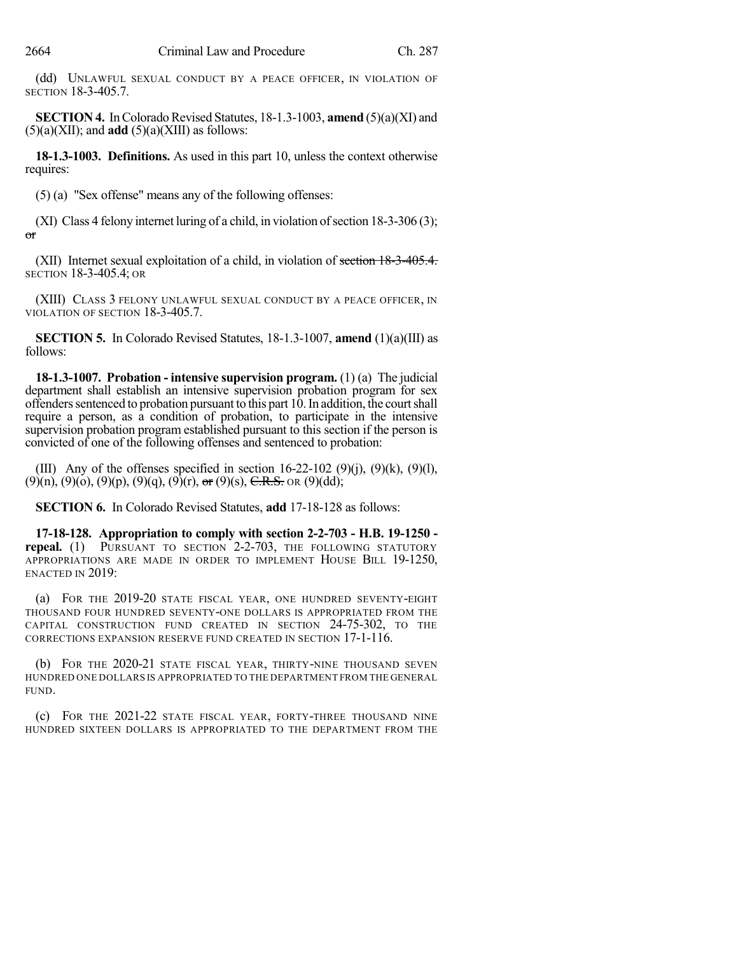(dd) UNLAWFUL SEXUAL CONDUCT BY A PEACE OFFICER, IN VIOLATION OF SECTION 18-3-405.7.

**SECTION 4.** In Colorado Revised Statutes, 18-1.3-1003, **amend** (5)(a)(XI) and  $(5)(a)(XII)$ ; and **add**  $(5)(a)(XIII)$  as follows:

**18-1.3-1003. Definitions.** As used in this part 10, unless the context otherwise requires:

(5) (a) "Sex offense" means any of the following offenses:

(XI) Class 4 felony internet luring of a child, in violation of section  $18-3-306(3)$ ; or

(XII) Internet sexual exploitation of a child, in violation of section 18-3-405.4. SECTION 18-3-405.4; OR

(XIII) CLASS 3 FELONY UNLAWFUL SEXUAL CONDUCT BY A PEACE OFFICER, IN VIOLATION OF SECTION 18-3-405.7.

**SECTION 5.** In Colorado Revised Statutes, 18-1.3-1007, **amend** (1)(a)(III) as follows:

**18-1.3-1007. Probation - intensive supervision program.** (1) (a) The judicial department shall establish an intensive supervision probation program for sex offenders sentenced to probation pursuant to this part  $10$ . In addition, the court shall require a person, as a condition of probation, to participate in the intensive supervision probation program established pursuant to this section if the person is convicted of one of the following offenses and sentenced to probation:

(III) Any of the offenses specified in section  $16-22-102$  (9)(i), (9)(k), (9)(l),  $(9)(n)$ ,  $(9)(o)$ ,  $(9)(p)$ ,  $(9)(q)$ ,  $(9)(r)$ ,  $\sigma$ r  $(9)(s)$ ,  $\overline{C.R.S.}$  OR  $(9)(dd)$ ;

**SECTION 6.** In Colorado Revised Statutes, **add** 17-18-128 as follows:

**17-18-128. Appropriation to comply with section 2-2-703 - H.B. 19-1250 repeal.** (1) PURSUANT TO SECTION 2-2-703, THE FOLLOWING STATUTORY APPROPRIATIONS ARE MADE IN ORDER TO IMPLEMENT HOUSE BILL 19-1250, ENACTED IN 2019:

(a) FOR THE 2019-20 STATE FISCAL YEAR, ONE HUNDRED SEVENTY-EIGHT THOUSAND FOUR HUNDRED SEVENTY-ONE DOLLARS IS APPROPRIATED FROM THE CAPITAL CONSTRUCTION FUND CREATED IN SECTION 24-75-302, TO THE CORRECTIONS EXPANSION RESERVE FUND CREATED IN SECTION 17-1-116.

(b) FOR THE 2020-21 STATE FISCAL YEAR, THIRTY-NINE THOUSAND SEVEN HUNDRED ONE DOLLARS IS APPROPRIATED TO THE DEPARTMENT FROM THE GENERAL FUND.

(c) FOR THE 2021-22 STATE FISCAL YEAR, FORTY-THREE THOUSAND NINE HUNDRED SIXTEEN DOLLARS IS APPROPRIATED TO THE DEPARTMENT FROM THE